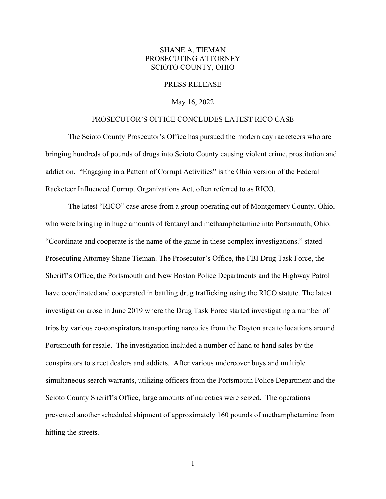## SHANE A. TIEMAN PROSECUTING ATTORNEY SCIOTO COUNTY, OHIO

## PRESS RELEASE

## May 16, 2022

## PROSECUTOR'S OFFICE CONCLUDES LATEST RICO CASE

 The Scioto County Prosecutor's Office has pursued the modern day racketeers who are bringing hundreds of pounds of drugs into Scioto County causing violent crime, prostitution and addiction. "Engaging in a Pattern of Corrupt Activities" is the Ohio version of the Federal Racketeer Influenced Corrupt Organizations Act, often referred to as RICO.

The latest "RICO" case arose from a group operating out of Montgomery County, Ohio, who were bringing in huge amounts of fentanyl and methamphetamine into Portsmouth, Ohio. "Coordinate and cooperate is the name of the game in these complex investigations." stated Prosecuting Attorney Shane Tieman. The Prosecutor's Office, the FBI Drug Task Force, the Sheriff's Office, the Portsmouth and New Boston Police Departments and the Highway Patrol have coordinated and cooperated in battling drug trafficking using the RICO statute. The latest investigation arose in June 2019 where the Drug Task Force started investigating a number of trips by various co-conspirators transporting narcotics from the Dayton area to locations around Portsmouth for resale. The investigation included a number of hand to hand sales by the conspirators to street dealers and addicts. After various undercover buys and multiple simultaneous search warrants, utilizing officers from the Portsmouth Police Department and the Scioto County Sheriff's Office, large amounts of narcotics were seized. The operations prevented another scheduled shipment of approximately 160 pounds of methamphetamine from hitting the streets.